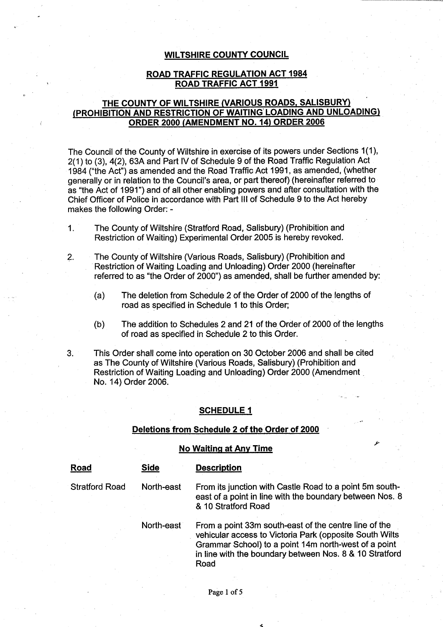#### WILTSHIRE COUNTY COUNCIL

### **ROAD** TRAFFIC **REGULATION** ACT 1984 **ROAD** TRAFFIC ACT 1991

### THE COUNTY **OF WILTSHIRE** (**VARIOUS ROADS**, SALISBURY) **(PROHIBITION AND RESTRICTION** OF WAITING LOADING **AND UNLOADING) ORDER 2000** (**AMENDMENT NO. 14**) **ORDER 2006**

The Council of the County of Wiltshire in exercise of its powers under Sections 1(1), 2(1) to (3), 4(2), 63A and Part IV of Schedule 9 of the Road Traffic Regulation Act 1984 ("the Act") as amended and the Road Traffic Act 1991, as amended, (whether generally or in relation to the Council'**s area** , or part thereof) (hereinafter referred to as "the Act of 1991") and of all other enabling powers and after consultation with the Chief Officer of Police in accordance with Part III of Schedule 9 to the Act hereby makes the following Order: -

- 1. The County of Wiltshire (Stratford Road, Salisbury) (Prohibition and Restriction of Waiting) Experimental Order 2005 is hereby revoked.
- 2. The County of Wiltshire (Various Roads, Salisbury) (Prohibition and Restriction of Waiting Loading and Unloading) Order 2000 (hereinafter referred to as "the Order of 2000**") as amended**, shall be further amended by:
	- (a) The deletion from Schedule 2 of the Order of 2000 of the lengths of road as specified in Schedule 1 to this Order;
	- (b) The addition to Schedules 2 and 21 of the. Order of 2000 of the lengths of road as specified in Schedule 2 to this Order.
- 3. This Order shall come into operation on 30 October 2006 and shall be cited as The County of Wiltshire (Various Roads, Salisbury) (Prohibition and Restriction of Waiting Loading and Unloading) Order 2000 (Amendment No. 14) Order 2006.

#### **SCHEDULE 1**

#### **Deletions from Schedule 2 of the Order of 2000**

#### **No Waiting at** Any Time

| Road                  | Side       | <b>Description</b>                                                                                                                                                                                                                          |
|-----------------------|------------|---------------------------------------------------------------------------------------------------------------------------------------------------------------------------------------------------------------------------------------------|
| <b>Stratford Road</b> | North-east | From its junction with Castle Road to a point 5m south-<br>east of a point in line with the boundary between Nos. 8<br>& 10 Stratford Road                                                                                                  |
|                       | North-east | From a point 33m south-east of the centre line of the<br>vehicular access to Victoria Park (opposite South Wilts<br>Grammar School) to a point 14m north-west of a point<br>in line with the boundary between Nos. 8 & 10 Stratford<br>Road |

d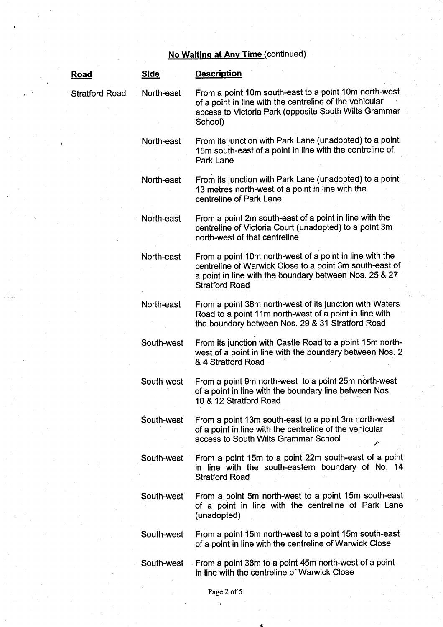# **No Waiting** at Any Time (continued)

| <u>Road</u>           | <b>Side</b> | <b>Description</b>                                                                                                                                                                                    |
|-----------------------|-------------|-------------------------------------------------------------------------------------------------------------------------------------------------------------------------------------------------------|
| <b>Stratford Road</b> | North-east  | From a point 10m south-east to a point 10m north-west<br>of a point in line with the centreline of the vehicular<br>access to Victoria Park (opposite South Wilts Grammar<br>School)                  |
|                       | North-east  | From its junction with Park Lane (unadopted) to a point<br>15m south-east of a point in line with the centreline of<br>Park Lane                                                                      |
|                       | North-east  | From its junction with Park Lane (unadopted) to a point<br>13 metres north-west of a point in line with the<br>centreline of Park Lane                                                                |
|                       | North-east  | From a point 2m south-east of a point in line with the<br>centreline of Victoria Court (unadopted) to a point 3m<br>north-west of that centreline                                                     |
|                       | North-east  | From a point 10m north-west of a point in line with the<br>centreline of Warwick Close to a point 3m south-east of<br>a point in line with the boundary between Nos. 25 & 27<br><b>Stratford Road</b> |
|                       | North-east  | From a point 36m north-west of its junction with Waters<br>Road to a point 11m north-west of a point in line with<br>the boundary between Nos. 29 & 31 Stratford Road                                 |
|                       | South-west  | From its junction with Castle Road to a point 15m north-<br>west of a point in line with the boundary between Nos. 2<br>& 4 Stratford Road                                                            |
|                       | South-west  | From a point 9m north-west to a point 25m north-west<br>of a point in line with the boundary line between Nos.<br>10 & 12 Stratford Road                                                              |
|                       | South-west  | From a point 13m south-east to a point 3m north-west<br>of a point in line with the centreline of the vehicular<br>access to South Wilts Grammar School<br>ىتو                                        |
|                       | South-west  | From a point 15m to a point 22m south-east of a point.<br>in line with the south-eastern boundary of No. 14<br><b>Stratford Road</b>                                                                  |
|                       | South-west  | From a point 5m north-west to a point 15m south-east<br>of a point in line with the centreline of Park Lane<br>(unadopted)                                                                            |
|                       | South-west  | From a point 15m north-west to a point 15m south-east<br>of a point in line with the centreline of Warwick Close                                                                                      |
|                       | South-west  | From a point 38m to a point 45m north-west of a point<br>in line with the centreline of Warwick Close                                                                                                 |

 $\bar{1}$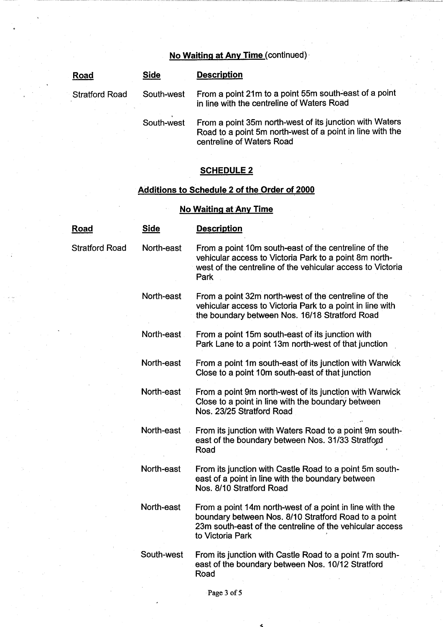## **No Waiting at Any Time (continued)**

| Road                  | <b>Side</b> | <b>Description</b>                                                                                                                                |
|-----------------------|-------------|---------------------------------------------------------------------------------------------------------------------------------------------------|
| <b>Stratford Road</b> | South-west  | From a point 21m to a point 55m south-east of a point<br>in line with the centreline of Waters Road                                               |
|                       | South-west  | From a point 35m north-west of its junction with Waters<br>Road to a point 5m north-west of a point in line with the<br>centreline of Waters Road |

## **SCHEDULE 2**

### Additions to **Schedule 2 of the Order of 2000**

## **No Waiting at** Any Time

| <u>Road</u>           | <b>Side</b> | <b>Description</b>                                                                                                                                                                              |
|-----------------------|-------------|-------------------------------------------------------------------------------------------------------------------------------------------------------------------------------------------------|
| <b>Stratford Road</b> | North-east  | From a point 10m south-east of the centreline of the<br>vehicular access to Victoria Park to a point 8m north-<br>west of the centreline of the vehicular access to Victoria<br>Park            |
|                       | North-east  | From a point 32m north-west of the centreline of the<br>vehicular access to Victoria Park to a point in line with<br>the boundary between Nos. 16/18 Stratford Road                             |
|                       | North-east  | From a point 15m south-east of its junction with<br>Park Lane to a point 13m north-west of that junction                                                                                        |
|                       | North-east  | From a point 1m south-east of its junction with Warwick<br>Close to a point 10m south-east of that junction                                                                                     |
|                       | North-east  | From a point 9m north-west of its junction with Warwick<br>Close to a point in line with the boundary between<br>Nos. 23/25 Stratford Road                                                      |
|                       | North-east  | From its junction with Waters Road to a point 9m south-<br>east of the boundary between Nos. 31/33 Stratford<br>Road                                                                            |
|                       | North-east  | From its junction with Castle Road to a point 5m south-<br>east of a point in line with the boundary between<br>Nos. 8/10 Stratford Road                                                        |
|                       | North-east  | From a point 14m north-west of a point in line with the<br>boundary between Nos. 8/10 Stratford Road to a point<br>23m south-east of the centreline of the vehicular access<br>to Victoria Park |
|                       | South-west  | From its junction with Castle Road to a point 7m south-<br>east of the boundary between Nos. 10/12 Stratford<br>Road                                                                            |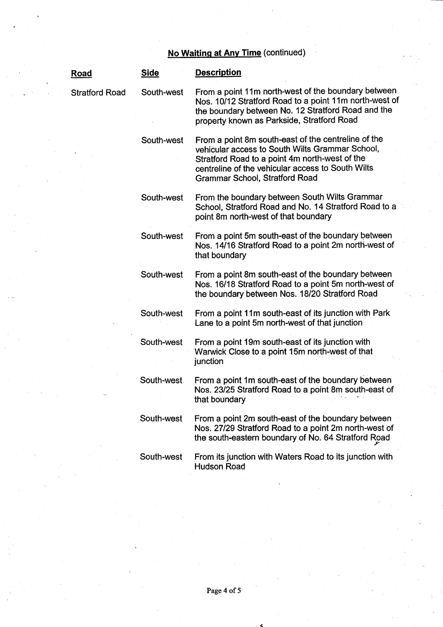# **No Waiting at** Any Time (continued)

| Road           | <b>Side</b> | <b>Description</b>                                                                                                                                                                                                                                     |
|----------------|-------------|--------------------------------------------------------------------------------------------------------------------------------------------------------------------------------------------------------------------------------------------------------|
| Stratford Road | South-west  | From a point 11m north-west of the boundary between<br>Nos. 10/12 Stratford Road to a point 11m north-west of<br>the boundary between No. 12 Stratford Road and the<br>property known as Parkside, Stratford Road                                      |
|                | South-west  | From a point 8m south-east of the centreline of the<br>vehicular access to South Wilts Grammar School,<br>Stratford Road to a point 4m north-west of the<br>centreline of the vehicular access to South Wilts<br><b>Grammar School, Stratford Road</b> |
|                | South-west  | From the boundary between South Wilts Grammar<br>School, Stratford Road and No. 14 Stratford Road to a<br>point 8m north-west of that boundary                                                                                                         |
|                | South-west  | From a point 5m south-east of the boundary between<br>Nos. 14/16 Stratford Road to a point 2m north-west of<br>that boundary                                                                                                                           |
|                | South-west  | From a point 8m south-east of the boundary between<br>Nos. 16/18 Stratford Road to a point 5m north-west of<br>the boundary between Nos. 18/20 Stratford Road                                                                                          |
|                | South-west  | From a point 11m south-east of its junction with Park<br>Lane to a point 5m north-west of that junction                                                                                                                                                |
|                | South-west  | From a point 19m south-east of its junction with<br>Warwick Close to a point 15m north-west of that<br>junction                                                                                                                                        |
|                | South-west  | From a point 1m south-east of the boundary between<br>Nos. 23/25 Stratford Road to a point 8m south-east of<br>that boundary                                                                                                                           |
|                | South-west  | From a point 2m south-east of the boundary between<br>Nos. 27/29 Stratford Road to a point 2m north-west of<br>the south-eastern boundary of No. 64 Stratford Road                                                                                     |
|                | South-west  | From its junction with Waters Road to its junction with<br><b>Hudson Road</b>                                                                                                                                                                          |

d